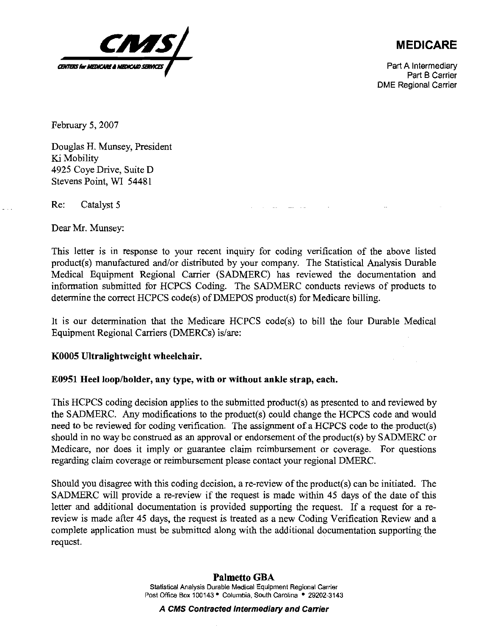

## **MEDICARE**

Part A Intermediary Part B Carrier DME Regional Carrier

February 5, 2007

Douglas H. Munsey, President Ki Mobility 4925 Coye Drive, Suite D Stevens Point, WI 54481

Re: Catalyst 5

Dear Mr. Munsey:

This letter is in response to your recent inquiry for coding verification of the above listed product(s) manufactured and/or distributed by your company. The Statistical Analysis Durable Medical Equipment Regional Carrier (SADMERC) has reviewed the documentation and information submitted for HCPCS Coding. The SADMERC conducts reviews of products to determine the correct HCPCS code(s) of DMEPOS product(s) for Medicare billing.

It is our determination that the Medicare HCPCS code(s) to bill the four Durable Medical Equipment Regional Carriers (DMERCs) is/are:

## **KO005 Ultralightweight wheelchair.**

## **E0951 Heel loopholder, any type, with or without ankle strap, each.**

This HCPCS coding decision applies to the submitted product(s) as presented to and reviewed by the SADMERC. Any modifications to the product(s) could change the HCPCS code and would need to be reviewed for coding verification. The assignment of a HCPCS code to the product(s) should in no way be construed as an approval or endorsement of the product(s) by SADMERC or Medicare, nor does it imply or guarantee claim reimbursement or coverage. For questions regarding claim coverage or reimbursement please contact your regional DMERC.

Should you disagree with this coding decision, a re-review of the product(s) can be initiated. The SADMERC will provide a re-review if the request is made withim 45 days of the date of this letter and additional documentation is provided supporting the request. If a request for a rereview is made after 45 days, the request is treated as a new Coding Verification Review and a complete application must be submitted along with the additional documentation supporting the request.

## **Palmetto GBA**

**Statistical Analysis Durable Medical Equipment Regional Carrier Post Office Box 100143\* Columbia, South Carolina 29202-3143** 

**A CMS Contracted intermediary and Carrier**